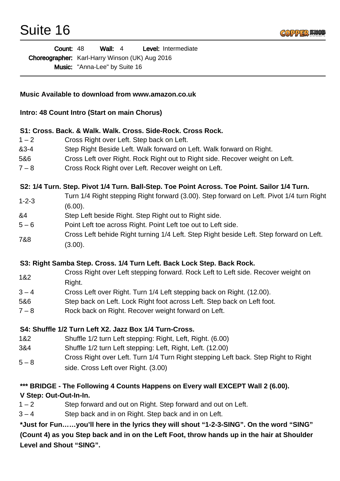

Wall: 4 Level: Intermediate Choreographer: Karl-Harry Winson (UK) Aug 2016 Music: "Anna-Lee" by Suite 16 Count: 48

#### **Music Available to download from www.amazon.co.uk**

#### **Intro: 48 Count Intro (Start on main Chorus)**

#### **S1: Cross. Back. & Walk. Walk. Cross. Side-Rock. Cross Rock.**

- 1 2 Cross Right over Left. Step back on Left.
- &3-4 Step Right Beside Left. Walk forward on Left. Walk forward on Right.
- 5&6 Cross Left over Right. Rock Right out to Right side. Recover weight on Left.
- 7 8 Cross Rock Right over Left. Recover weight on Left.

**S2: 1/4 Turn. Step. Pivot 1/4 Turn. Ball-Step. Toe Point Across. Toe Point. Sailor 1/4 Turn.** 

- 1-2-3 Turn 1/4 Right stepping Right forward (3.00). Step forward on Left. Pivot 1/4 turn Right (6.00).
- &4 Step Left beside Right. Step Right out to Right side.
- 5 6 Point Left toe across Right. Point Left toe out to Left side.
- 7&8 Cross Left behide Right turning 1/4 Left. Step Right beside Left. Step forward on Left. (3.00).

## **S3: Right Samba Step. Cross. 1/4 Turn Left. Back Lock Step. Back Rock.**

- 1&2 Cross Right over Left stepping forward. Rock Left to Left side. Recover weight on Right.
- 3 4 Cross Left over Right. Turn 1/4 Left stepping back on Right. (12.00).
- 5&6 Step back on Left. Lock Right foot across Left. Step back on Left foot.
- 7 8 Rock back on Right. Recover weight forward on Left.

## **S4: Shuffle 1/2 Turn Left X2. Jazz Box 1/4 Turn-Cross.**

- 1&2 Shuffle 1/2 turn Left stepping: Right, Left, Right. (6.00)
- 3&4 Shuffle 1/2 turn Left stepping: Left, Right, Left. (12.00)
- $5 8$ Cross Right over Left. Turn 1/4 Turn Right stepping Left back. Step Right to Right side. Cross Left over Right. (3.00)

## **\*\*\* BRIDGE - The Following 4 Counts Happens on Every wall EXCEPT Wall 2 (6.00).**

**V Step: Out-Out-In-In.** 

1 – 2 Step forward and out on Right. Step forward and out on Left.

3 – 4 Step back and in on Right. Step back and in on Left.

**\*Just for Fun……you'll here in the lyrics they will shout "1-2-3-SING". On the word "SING" (Count 4) as you Step back and in on the Left Foot, throw hands up in the hair at Shoulder Level and Shout "SING".**